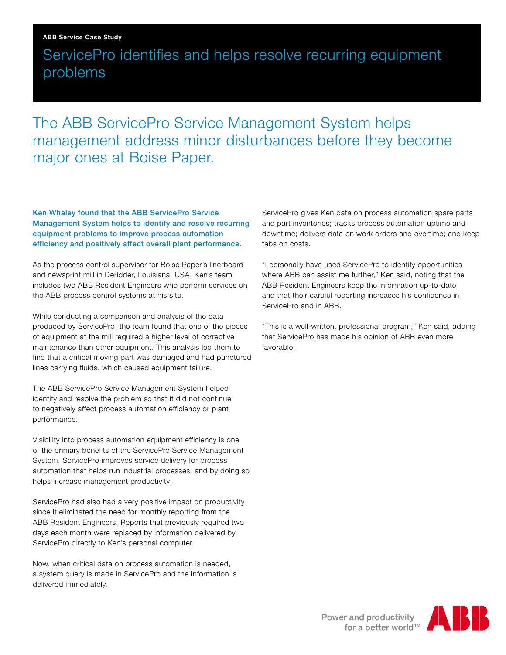#### ABB Service Case Study

## ServicePro identifies and helps resolve recurring equipment problems

## The ABB ServicePro Service Management System helps management address minor disturbances before they become major ones at Boise Paper.

Ken Whaley found that the ABB ServicePro Service Management System helps to identify and resolve recurring equipment problems to improve process automation efficiency and positively affect overall plant performance.

As the process control supervisor for Boise Paper's linerboard and newsprint mill in Deridder, Louisiana, USA, Ken's team includes two ABB Resident Engineers who perform services on the ABB process control systems at his site.

While conducting a comparison and analysis of the data produced by ServicePro, the team found that one of the pieces of equipment at the mill required a higher level of corrective maintenance than other equipment. This analysis led them to find that a critical moving part was damaged and had punctured lines carrying fluids, which caused equipment failure.

The ABB ServicePro Service Management System helped identify and resolve the problem so that it did not continue to negatively affect process automation efficiency or plant performance.

Visibility into process automation equipment efficiency is one of the primary benefits of the ServicePro Service Management System. ServicePro improves service delivery for process automation that helps run industrial processes, and by doing so helps increase management productivity.

ServicePro had also had a very positive impact on productivity since it eliminated the need for monthly reporting from the ABB Resident Engineers. Reports that previously required two days each month were replaced by information delivered by ServicePro directly to Ken's personal computer.

Now, when critical data on process automation is needed, a system query is made in ServicePro and the information is delivered immediately.

ServicePro gives Ken data on process automation spare parts and part inventories; tracks process automation uptime and downtime; delivers data on work orders and overtime; and keep tabs on costs.

"I personally have used ServicePro to identify opportunities where ABB can assist me further," Ken said, noting that the ABB Resident Engineers keep the information up-to-date and that their careful reporting increases his confidence in ServicePro and in ABB.

"This is a well-written, professional program," Ken said, adding that ServicePro has made his opinion of ABB even more favorable.